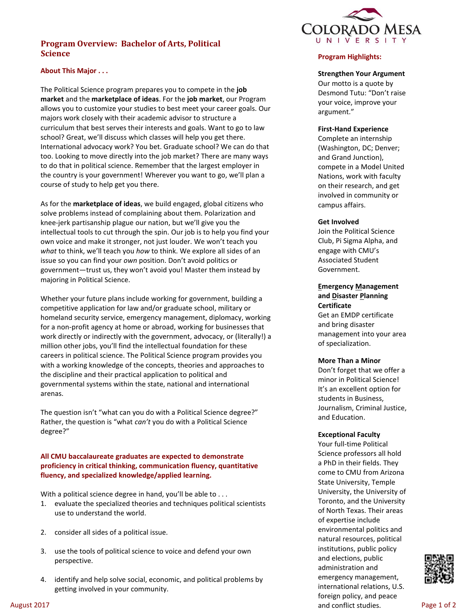# **Program Overview: Bachelor of Arts, Political Science**



## **About This Major . . .**

The Political Science program prepares you to compete in the **job market** and the **marketplace of ideas**. For the **job market**, our Program allows you to customize your studies to best meet your career goals. Our majors work closely with their academic advisor to structure a curriculum that best serves their interests and goals. Want to go to law school? Great, we'll discuss which classes will help you get there. International advocacy work? You bet. Graduate school? We can do that too. Looking to move directly into the job market? There are many ways to do that in political science. Remember that the largest employer in the country is your government! Wherever you want to go, we'll plan a course of study to help get you there.

As for the **marketplace of ideas**, we build engaged, global citizens who solve problems instead of complaining about them. Polarization and knee-jerk partisanship plague our nation, but we'll give you the intellectual tools to cut through the spin. Our job is to help you find your own voice and make it stronger, not just louder. We won't teach you *what* to think, we'll teach you *how* to think. We explore all sides of an issue so you can find your *own* position. Don't avoid politics or government—trust us, they won't avoid you! Master them instead by majoring in Political Science.

Whether your future plans include working for government, building a competitive application for law and/or graduate school, military or homeland security service, emergency management, diplomacy, working for a non-profit agency at home or abroad, working for businesses that work directly or indirectly with the government, advocacy, or (literally!) a million other jobs, you'll find the intellectual foundation for these careers in political science. The Political Science program provides you with a working knowledge of the concepts, theories and approaches to the discipline and their practical application to political and governmental systems within the state, national and international arenas.

The question isn't "what can you do with a Political Science degree?" Rather, the question is "what *can't* you do with a Political Science degree?"

## **All CMU baccalaureate graduates are expected to demonstrate proficiency in critical thinking, communication fluency, quantitative fluency, and specialized knowledge/applied learning.**

With a political science degree in hand, you'll be able to ...

- 1. evaluate the specialized theories and techniques political scientists use to understand the world.
- 2. consider all sides of a political issue.
- 3. use the tools of political science to voice and defend your own perspective.
- 4. identify and help solve social, economic, and political problems by getting involved in your community.

## **Program Highlights:**

#### **Strengthen Your Argument**

Our motto is a quote by Desmond Tutu: "Don't raise your voice, improve your argument."

#### **First-Hand Experience**

Complete an internship (Washington, DC; Denver; and Grand Junction), compete in a Model United Nations, work with faculty on their research, and get involved in community or campus affairs.

## **Get Involved**

Join the Political Science Club, Pi Sigma Alpha, and engage with CMU's Associated Student Government.

## **Emergency Management and Disaster Planning Certificate**

Get an EMDP certificate and bring disaster management into your area of specialization.

#### **More Than a Minor**

Don't forget that we offer a minor in Political Science! It's an excellent option for students in Business, Journalism, Criminal Justice, and Education.

#### **Exceptional Faculty**

Your full-time Political Science professors all hold a PhD in their fields. They come to CMU from Arizona State University, Temple University, the University of Toronto, and the University of North Texas. Their areas of expertise include environmental politics and natural resources, political institutions, public policy and elections, public administration and emergency management, international relations, U.S. foreign policy, and peace